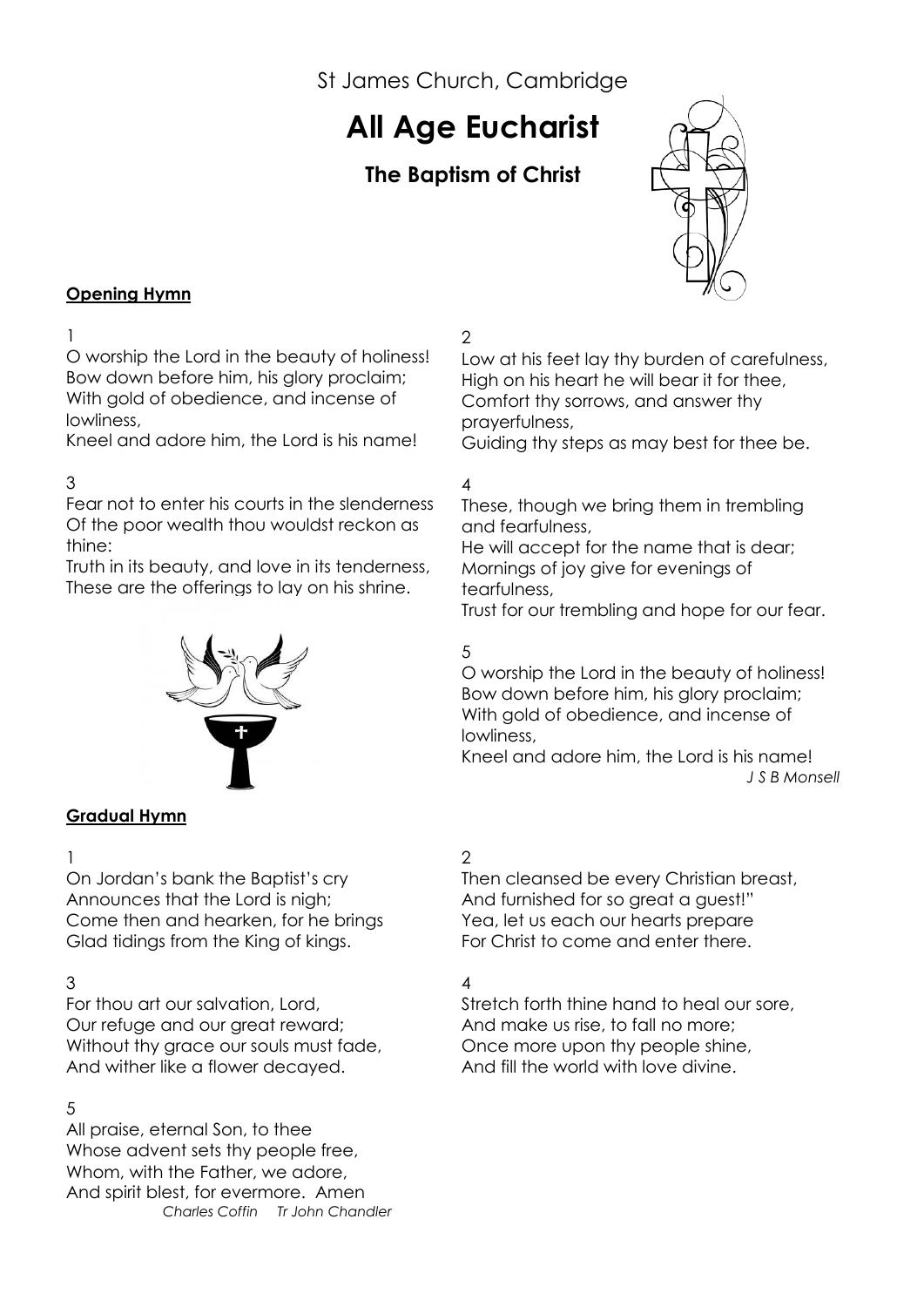St James Church, Cambridge

# **All Age Eucharist**

# **The Baptism of Christ**



#### **Opening Hymn**

#### 1

O worship the Lord in the beauty of holiness! Bow down before him, his glory proclaim; With gold of obedience, and incense of lowliness,

Kneel and adore him, the Lord is his name!

# 3

Fear not to enter his courts in the slenderness Of the poor wealth thou wouldst reckon as thine:

Truth in its beauty, and love in its tenderness, These are the offerings to lay on his shrine.



#### **Gradual Hymn**

#### 1

On Jordan's bank the Baptist's cry Announces that the Lord is nigh; Come then and hearken, for he brings Glad tidings from the King of kings.

#### 3

For thou art our salvation, Lord, Our refuge and our great reward; Without thy grace our souls must fade, And wither like a flower decayed.

#### 5

All praise, eternal Son, to thee Whose advent sets thy people free, Whom, with the Father, we adore, And spirit blest, for evermore. Amen  *Charles Coffin Tr John Chandler*

# 2

Low at his feet lay thy burden of carefulness, High on his heart he will bear it for thee, Comfort thy sorrows, and answer thy prayerfulness,

Guiding thy steps as may best for thee be.

# 4

These, though we bring them in trembling and fearfulness,

He will accept for the name that is dear; Mornings of joy give for evenings of tearfulness,

Trust for our trembling and hope for our fear.

# 5

O worship the Lord in the beauty of holiness! Bow down before him, his glory proclaim; With gold of obedience, and incense of lowliness,

Kneel and adore him, the Lord is his name! *J S B Monsell*

# 2

Then cleansed be every Christian breast, And furnished for so great a guest!" Yea, let us each our hearts prepare For Christ to come and enter there.

# 4

Stretch forth thine hand to heal our sore, And make us rise, to fall no more; Once more upon thy people shine, And fill the world with love divine.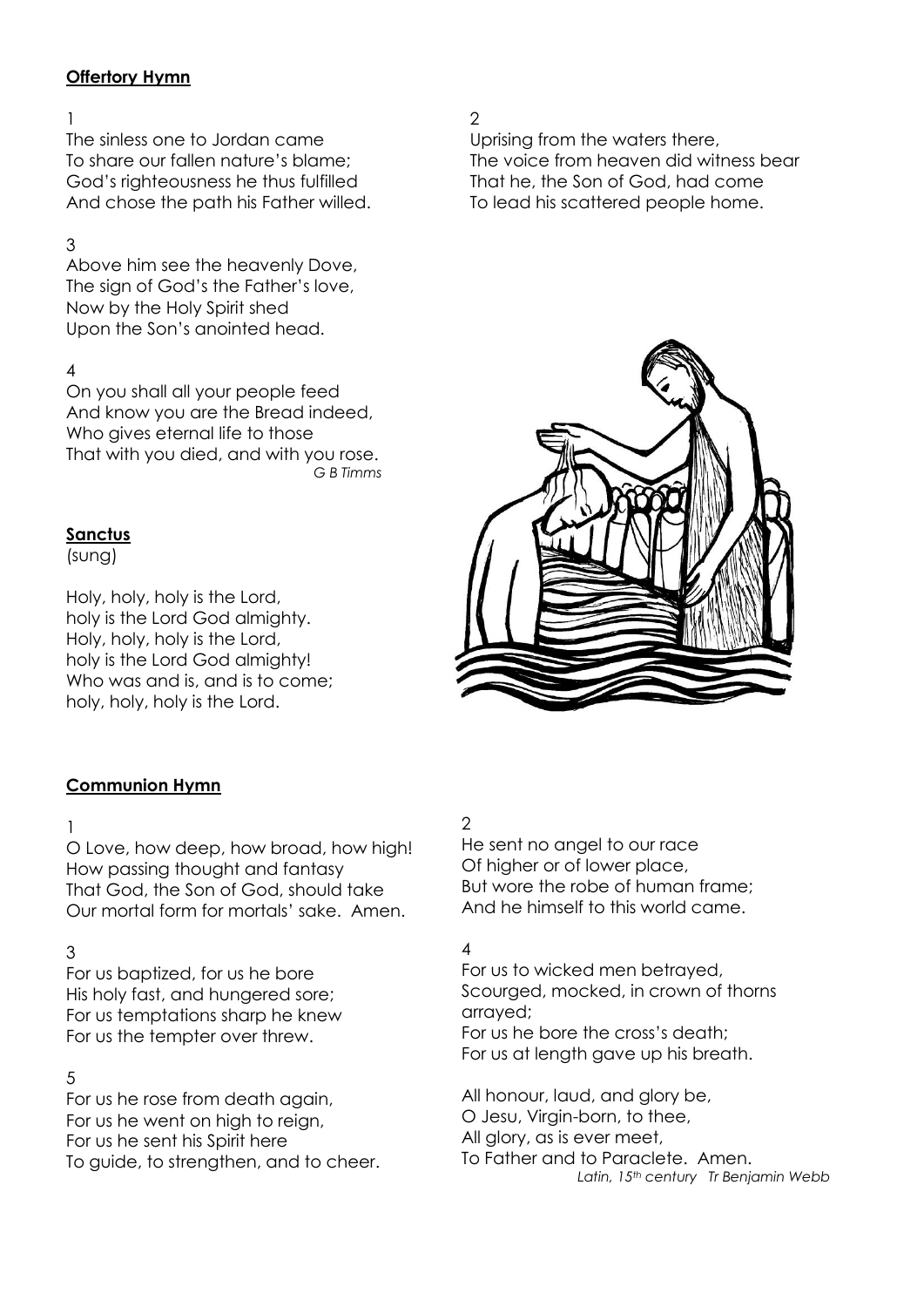#### **Offertory Hymn**

#### 1

The sinless one to Jordan came To share our fallen nature's blame; God's righteousness he thus fulfilled And chose the path his Father willed.

### 3

Above him see the heavenly Dove, The sign of God's the Father's love, Now by the Holy Spirit shed Upon the Son's anointed head.

#### 4

On you shall all your people feed And know you are the Bread indeed, Who gives eternal life to those That with you died, and with you rose.  *G B Timms*

#### **Sanctus**

(sung)

Holy, holy, holy is the Lord, holy is the Lord God almighty. Holy, holy, holy is the Lord, holy is the Lord God almighty! Who was and is, and is to come; holy, holy, holy is the Lord.

#### $\mathfrak{D}$

Uprising from the waters there, The voice from heaven did witness bear That he, the Son of God, had come To lead his scattered people home.



#### **Communion Hymn**

#### 1

O Love, how deep, how broad, how high! How passing thought and fantasy That God, the Son of God, should take Our mortal form for mortals' sake. Amen.

#### 3

For us baptized, for us he bore His holy fast, and hungered sore; For us temptations sharp he knew For us the tempter over threw.

#### 5

For us he rose from death again, For us he went on high to reign, For us he sent his Spirit here To guide, to strengthen, and to cheer.

# 2

He sent no angel to our race Of higher or of lower place, But wore the robe of human frame; And he himself to this world came.

#### 4

For us to wicked men betrayed, Scourged, mocked, in crown of thorns arrayed; For us he bore the cross's death; For us at length gave up his breath.

All honour, laud, and glory be, O Jesu, Virgin-born, to thee, All glory, as is ever meet, To Father and to Paraclete. Amen.

 *Latin, 15th century Tr Benjamin Webb*